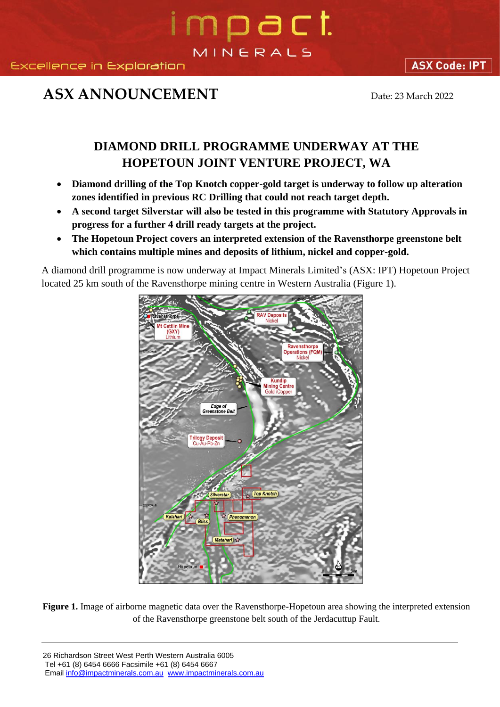### mpact MINERALS

### **ASX ANNOUNCEMENT** Date: 23 March 2022

**ASX Code: IPT** 

### **DIAMOND DRILL PROGRAMME UNDERWAY AT THE HOPETOUN JOINT VENTURE PROJECT, WA**

- **Diamond drilling of the Top Knotch copper-gold target is underway to follow up alteration zones identified in previous RC Drilling that could not reach target depth.**
- **A second target Silverstar will also be tested in this programme with Statutory Approvals in progress for a further 4 drill ready targets at the project.**
- **The Hopetoun Project covers an interpreted extension of the Ravensthorpe greenstone belt which contains multiple mines and deposits of lithium, nickel and copper-gold.**

A diamond drill programme is now underway at Impact Minerals Limited's (ASX: IPT) Hopetoun Project located 25 km south of the Ravensthorpe mining centre in Western Australia (Figure 1).



**Figure 1.** Image of airborne magnetic data over the Ravensthorpe-Hopetoun area showing the interpreted extension of the Ravensthorpe greenstone belt south of the Jerdacuttup Fault.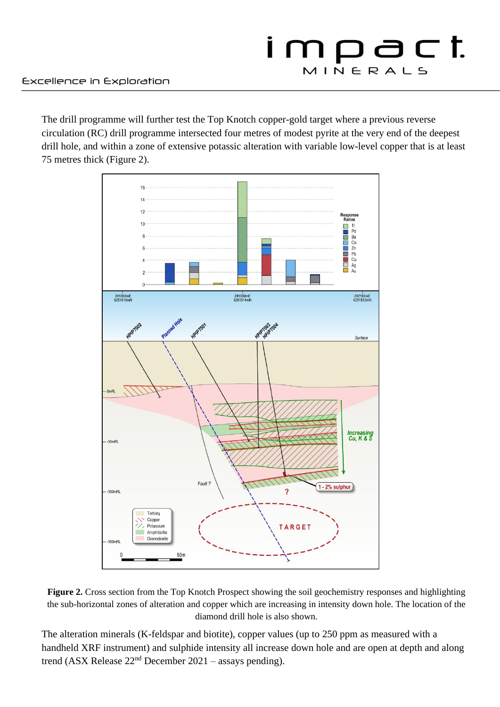The drill programme will further test the Top Knotch copper-gold target where a previous reverse circulation (RC) drill programme intersected four metres of modest pyrite at the very end of the deepest drill hole, and within a zone of extensive potassic alteration with variable low-level copper that is at least 75 metres thick (Figure 2).



**Figure 2.** Cross section from the Top Knotch Prospect showing the soil geochemistry responses and highlighting the sub-horizontal zones of alteration and copper which are increasing in intensity down hole. The location of the diamond drill hole is also shown.

The alteration minerals (K-feldspar and biotite), copper values (up to 250 ppm as measured with a handheld XRF instrument) and sulphide intensity all increase down hole and are open at depth and along trend (ASX Release  $22<sup>nd</sup>$  December 2021 – assays pending).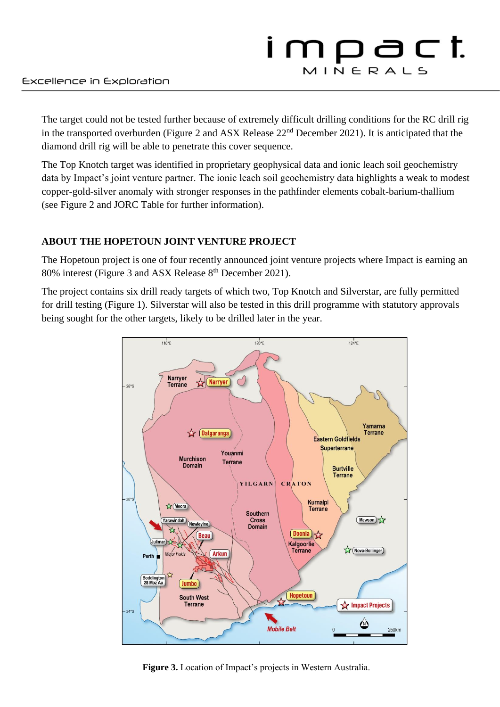The target could not be tested further because of extremely difficult drilling conditions for the RC drill rig in the transported overburden (Figure 2 and ASX Release 22nd December 2021). It is anticipated that the diamond drill rig will be able to penetrate this cover sequence.

The Top Knotch target was identified in proprietary geophysical data and ionic leach soil geochemistry data by Impact's joint venture partner. The ionic leach soil geochemistry data highlights a weak to modest copper-gold-silver anomaly with stronger responses in the pathfinder elements cobalt-barium-thallium (see Figure 2 and JORC Table for further information).

#### **ABOUT THE HOPETOUN JOINT VENTURE PROJECT**

The Hopetoun project is one of four recently announced joint venture projects where Impact is earning an 80% interest (Figure 3 and ASX Release 8<sup>th</sup> December 2021).

The project contains six drill ready targets of which two, Top Knotch and Silverstar, are fully permitted for drill testing (Figure 1). Silverstar will also be tested in this drill programme with statutory approvals being sought for the other targets, likely to be drilled later in the year.



**Figure 3.** Location of Impact's projects in Western Australia.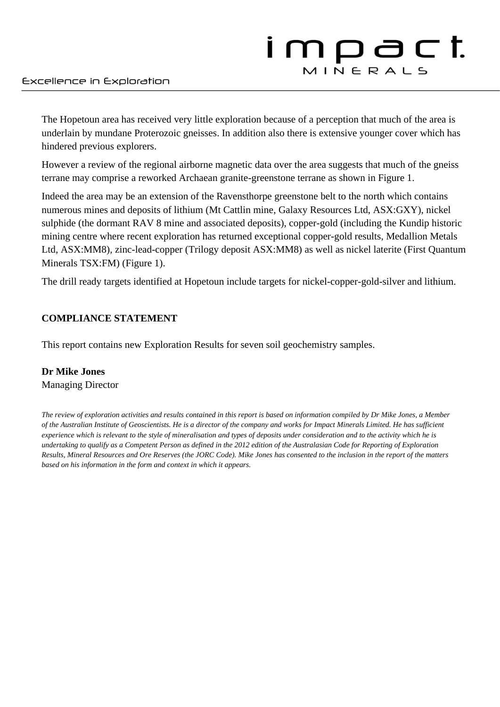The Hopetoun area has received very little exploration because of a perception that much of the area is underlain by mundane Proterozoic gneisses. In addition also there is extensive younger cover which has hindered previous explorers.

However a review of the regional airborne magnetic data over the area suggests that much of the gneiss terrane may comprise a reworked Archaean granite-greenstone terrane as shown in Figure 1.

Indeed the area may be an extension of the Ravensthorpe greenstone belt to the north which contains numerous mines and deposits of lithium (Mt Cattlin mine, Galaxy Resources Ltd, ASX:GXY), nickel sulphide (the dormant RAV 8 mine and associated deposits), copper-gold (including the Kundip historic mining centre where recent exploration has returned exceptional copper-gold results, Medallion Metals Ltd, ASX:MM8), zinc-lead-copper (Trilogy deposit ASX:MM8) as well as nickel laterite (First Quantum Minerals TSX:FM) (Figure 1).

The drill ready targets identified at Hopetoun include targets for nickel-copper-gold-silver and lithium.

#### **COMPLIANCE STATEMENT**

This report contains new Exploration Results for seven soil geochemistry samples.

#### **Dr Mike Jones** Managing Director

*The review of exploration activities and results contained in this report is based on information compiled by Dr Mike Jones, a Member of the Australian Institute of Geoscientists. He is a director of the company and works for Impact Minerals Limited. He has sufficient experience which is relevant to the style of mineralisation and types of deposits under consideration and to the activity which he is undertaking to qualify as a Competent Person as defined in the 2012 edition of the Australasian Code for Reporting of Exploration Results, Mineral Resources and Ore Reserves (the JORC Code). Mike Jones has consented to the inclusion in the report of the matters based on his information in the form and context in which it appears.*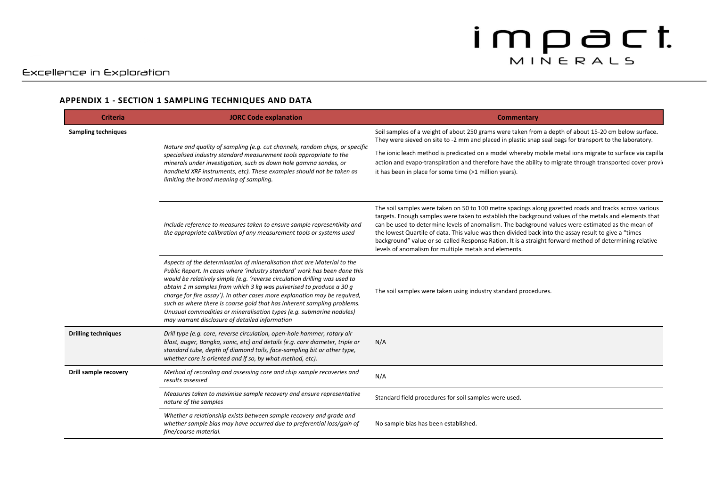#### **APPENDIX 1 - SECTION 1 SAMPLING TECHNIQUES AND DATA**

| <b>Criteria</b>            | <b>JORC Code explanation</b>                                                                                                                                                                                                                                                                                                                                                                                                                                                                                                                                                                | <b>Commentary</b>                                                                                                                                                                                                                                                                                                                                                                                                                                                                                                                                                                                |
|----------------------------|---------------------------------------------------------------------------------------------------------------------------------------------------------------------------------------------------------------------------------------------------------------------------------------------------------------------------------------------------------------------------------------------------------------------------------------------------------------------------------------------------------------------------------------------------------------------------------------------|--------------------------------------------------------------------------------------------------------------------------------------------------------------------------------------------------------------------------------------------------------------------------------------------------------------------------------------------------------------------------------------------------------------------------------------------------------------------------------------------------------------------------------------------------------------------------------------------------|
| <b>Sampling techniques</b> | Nature and quality of sampling (e.g. cut channels, random chips, or specific<br>specialised industry standard measurement tools appropriate to the<br>minerals under investigation, such as down hole gamma sondes, or<br>handheld XRF instruments, etc). These examples should not be taken as<br>limiting the broad meaning of sampling.                                                                                                                                                                                                                                                  | Soil samples of a weight of about 250 grams were taken from a depth of about 15-20 cm below surface.<br>They were sieved on site to -2 mm and placed in plastic snap seal bags for transport to the laboratory.                                                                                                                                                                                                                                                                                                                                                                                  |
|                            |                                                                                                                                                                                                                                                                                                                                                                                                                                                                                                                                                                                             | The ionic leach method is predicated on a model whereby mobile metal ions migrate to surface via capilla<br>action and evapo-transpiration and therefore have the ability to migrate through transported cover provided<br>it has been in place for some time (>1 million years).                                                                                                                                                                                                                                                                                                                |
|                            | Include reference to measures taken to ensure sample representivity and<br>the appropriate calibration of any measurement tools or systems used                                                                                                                                                                                                                                                                                                                                                                                                                                             | The soil samples were taken on 50 to 100 metre spacings along gazetted roads and tracks across various<br>targets. Enough samples were taken to establish the background values of the metals and elements that<br>can be used to determine levels of anomalism. The background values were estimated as the mean of<br>the lowest Quartile of data. This value was then divided back into the assay result to give a "times<br>background" value or so-called Response Ration. It is a straight forward method of determining relative<br>levels of anomalism for multiple metals and elements. |
|                            | Aspects of the determination of mineralisation that are Material to the<br>Public Report. In cases where 'industry standard' work has been done this<br>would be relatively simple (e.g. 'reverse circulation drilling was used to<br>obtain 1 m samples from which 3 kg was pulverised to produce a 30 g<br>charge for fire assay'). In other cases more explanation may be required,<br>such as where there is coarse gold that has inherent sampling problems.<br>Unusual commodities or mineralisation types (e.g. submarine nodules)<br>may warrant disclosure of detailed information | The soil samples were taken using industry standard procedures.                                                                                                                                                                                                                                                                                                                                                                                                                                                                                                                                  |
| <b>Drilling techniques</b> | Drill type (e.g. core, reverse circulation, open-hole hammer, rotary air<br>blast, auger, Bangka, sonic, etc) and details (e.g. core diameter, triple or<br>standard tube, depth of diamond tails, face-sampling bit or other type,<br>whether core is oriented and if so, by what method, etc).                                                                                                                                                                                                                                                                                            | N/A                                                                                                                                                                                                                                                                                                                                                                                                                                                                                                                                                                                              |
| Drill sample recovery      | Method of recording and assessing core and chip sample recoveries and<br>results assessed                                                                                                                                                                                                                                                                                                                                                                                                                                                                                                   | N/A                                                                                                                                                                                                                                                                                                                                                                                                                                                                                                                                                                                              |
|                            | Measures taken to maximise sample recovery and ensure representative<br>nature of the samples                                                                                                                                                                                                                                                                                                                                                                                                                                                                                               | Standard field procedures for soil samples were used.                                                                                                                                                                                                                                                                                                                                                                                                                                                                                                                                            |
|                            | Whether a relationship exists between sample recovery and grade and<br>whether sample bias may have occurred due to preferential loss/gain of<br>fine/coarse material.                                                                                                                                                                                                                                                                                                                                                                                                                      | No sample bias has been established.                                                                                                                                                                                                                                                                                                                                                                                                                                                                                                                                                             |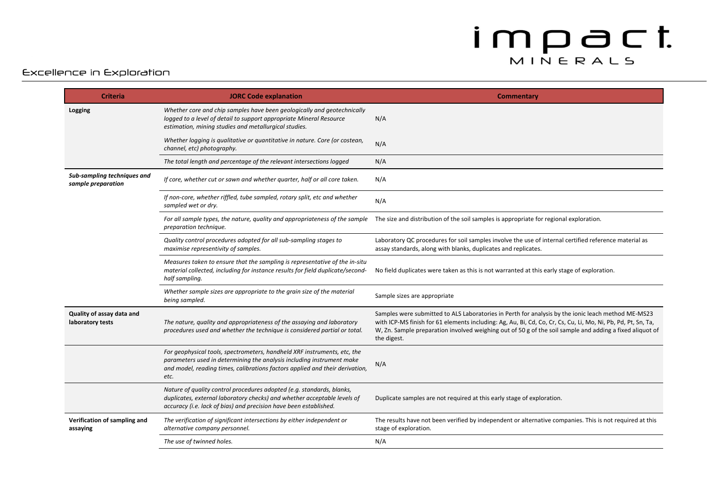#### Excellence in Exploration

| <b>Criteria</b>                                   | <b>JORC Code explanation</b>                                                                                                                                                                                                              | <b>Commentary</b>                                                                                                                                                                                                                                                                                                                              |
|---------------------------------------------------|-------------------------------------------------------------------------------------------------------------------------------------------------------------------------------------------------------------------------------------------|------------------------------------------------------------------------------------------------------------------------------------------------------------------------------------------------------------------------------------------------------------------------------------------------------------------------------------------------|
| Logging                                           | Whether core and chip samples have been geologically and geotechnically<br>logged to a level of detail to support appropriate Mineral Resource<br>estimation, mining studies and metallurgical studies.                                   | N/A                                                                                                                                                                                                                                                                                                                                            |
|                                                   | Whether logging is qualitative or quantitative in nature. Core (or costean,<br>channel, etc) photography.                                                                                                                                 | N/A                                                                                                                                                                                                                                                                                                                                            |
|                                                   | The total length and percentage of the relevant intersections logged                                                                                                                                                                      | N/A                                                                                                                                                                                                                                                                                                                                            |
| Sub-sampling techniques and<br>sample preparation | If core, whether cut or sawn and whether quarter, half or all core taken.                                                                                                                                                                 | N/A                                                                                                                                                                                                                                                                                                                                            |
|                                                   | If non-core, whether riffled, tube sampled, rotary split, etc and whether<br>sampled wet or dry.                                                                                                                                          | N/A                                                                                                                                                                                                                                                                                                                                            |
|                                                   | For all sample types, the nature, quality and appropriateness of the sample<br>preparation technique.                                                                                                                                     | The size and distribution of the soil samples is appropriate for regional exploration.                                                                                                                                                                                                                                                         |
|                                                   | Quality control procedures adopted for all sub-sampling stages to<br>maximise representivity of samples.                                                                                                                                  | Laboratory QC procedures for soil samples involve the use of internal certified reference material as<br>assay standards, along with blanks, duplicates and replicates.                                                                                                                                                                        |
|                                                   | Measures taken to ensure that the sampling is representative of the in-situ<br>material collected, including for instance results for field duplicate/second-<br>half sampling.                                                           | No field duplicates were taken as this is not warranted at this early stage of exploration.                                                                                                                                                                                                                                                    |
|                                                   | Whether sample sizes are appropriate to the grain size of the material<br>being sampled.                                                                                                                                                  | Sample sizes are appropriate                                                                                                                                                                                                                                                                                                                   |
| Quality of assay data and<br>laboratory tests     | The nature, quality and appropriateness of the assaying and laboratory<br>procedures used and whether the technique is considered partial or total.                                                                                       | Samples were submitted to ALS Laboratories in Perth for analysis by the ionic leach method ME-MS23<br>with ICP-MS finish for 61 elements including: Ag, Au, Bi, Cd, Co, Cr, Cs, Cu, Li, Mo, Ni, Pb, Pd, Pt, Sn, Ta,<br>W, Zn. Sample preparation involved weighing out of 50 g of the soil sample and adding a fixed aliquot of<br>the digest. |
|                                                   | For geophysical tools, spectrometers, handheld XRF instruments, etc, the<br>parameters used in determining the analysis including instrument make<br>and model, reading times, calibrations factors applied and their derivation,<br>etc. | N/A                                                                                                                                                                                                                                                                                                                                            |
|                                                   | Nature of quality control procedures adopted (e.g. standards, blanks,<br>duplicates, external laboratory checks) and whether acceptable levels of<br>accuracy (i.e. lack of bias) and precision have been established.                    | Duplicate samples are not required at this early stage of exploration.                                                                                                                                                                                                                                                                         |
| Verification of sampling and<br>assaying          | The verification of significant intersections by either independent or<br>alternative company personnel.                                                                                                                                  | The results have not been verified by independent or alternative companies. This is not required at this<br>stage of exploration.                                                                                                                                                                                                              |
|                                                   | The use of twinned holes.                                                                                                                                                                                                                 | N/A                                                                                                                                                                                                                                                                                                                                            |
|                                                   |                                                                                                                                                                                                                                           |                                                                                                                                                                                                                                                                                                                                                |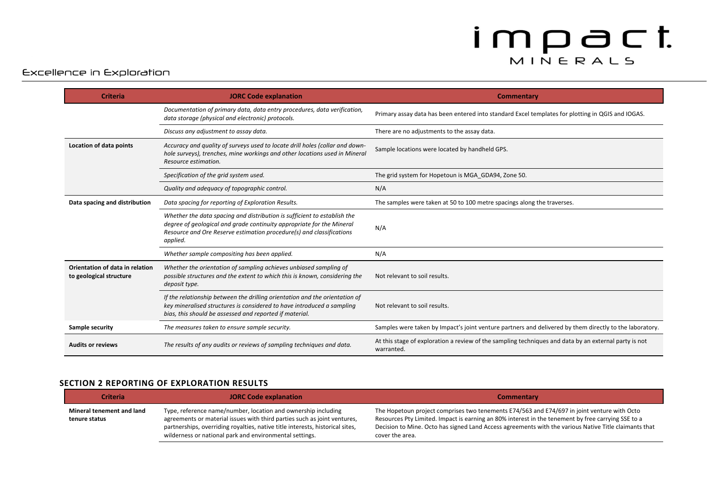#### Excellence in Exploration

| <b>Criteria</b>                                            | <b>JORC Code explanation</b>                                                                                                                                                                                                          | Commentary                                                                                                          |
|------------------------------------------------------------|---------------------------------------------------------------------------------------------------------------------------------------------------------------------------------------------------------------------------------------|---------------------------------------------------------------------------------------------------------------------|
|                                                            | Documentation of primary data, data entry procedures, data verification,<br>data storage (physical and electronic) protocols.                                                                                                         | Primary assay data has been entered into standard Excel templates for plotting in QGIS and IOGAS.                   |
|                                                            | Discuss any adjustment to assay data.                                                                                                                                                                                                 | There are no adjustments to the assay data.                                                                         |
| Location of data points                                    | Accuracy and quality of surveys used to locate drill holes (collar and down-<br>hole surveys), trenches, mine workings and other locations used in Mineral<br>Resource estimation.                                                    | Sample locations were located by handheld GPS.                                                                      |
|                                                            | Specification of the grid system used.                                                                                                                                                                                                | The grid system for Hopetoun is MGA GDA94, Zone 50.                                                                 |
|                                                            | Quality and adequacy of topographic control.                                                                                                                                                                                          | N/A                                                                                                                 |
| Data spacing and distribution                              | Data spacing for reporting of Exploration Results.                                                                                                                                                                                    | The samples were taken at 50 to 100 metre spacings along the traverses.                                             |
|                                                            | Whether the data spacing and distribution is sufficient to establish the<br>degree of geological and grade continuity appropriate for the Mineral<br>Resource and Ore Reserve estimation procedure(s) and classifications<br>applied. | N/A                                                                                                                 |
|                                                            | Whether sample compositing has been applied.                                                                                                                                                                                          | N/A                                                                                                                 |
| Orientation of data in relation<br>to geological structure | Whether the orientation of sampling achieves unbiased sampling of<br>possible structures and the extent to which this is known, considering the<br>deposit type.                                                                      | Not relevant to soil results.                                                                                       |
|                                                            | If the relationship between the drilling orientation and the orientation of<br>key mineralised structures is considered to have introduced a sampling<br>bias, this should be assessed and reported if material.                      | Not relevant to soil results.                                                                                       |
| Sample security                                            | The measures taken to ensure sample security.                                                                                                                                                                                         | Samples were taken by Impact's joint venture partners and delivered by them directly to the laboratory.             |
| <b>Audits or reviews</b>                                   | The results of any audits or reviews of sampling techniques and data.                                                                                                                                                                 | At this stage of exploration a review of the sampling techniques and data by an external party is not<br>warranted. |

#### **SECTION 2 REPORTING OF EXPLORATION RESULTS**

| <b>Criteria</b>                            | <b>JORC Code explanation</b>                                                                                                                                                                                                                                                          | <b>Commentary</b>                                                                                                                                                                                                                                                                                                             |
|--------------------------------------------|---------------------------------------------------------------------------------------------------------------------------------------------------------------------------------------------------------------------------------------------------------------------------------------|-------------------------------------------------------------------------------------------------------------------------------------------------------------------------------------------------------------------------------------------------------------------------------------------------------------------------------|
| Mineral tenement and land<br>tenure status | Type, reference name/number, location and ownership including<br>agreements or material issues with third parties such as joint ventures,<br>partnerships, overriding royalties, native title interests, historical sites,<br>wilderness or national park and environmental settings. | The Hopetoun project comprises two tenements E74/563 and E74/697 in joint venture with Octo<br>Resources Pty Limited. Impact is earning an 80% interest in the tenement by free carrying SSE to a<br>Decision to Mine. Octo has signed Land Access agreements with the various Native Title claimants that<br>cover the area. |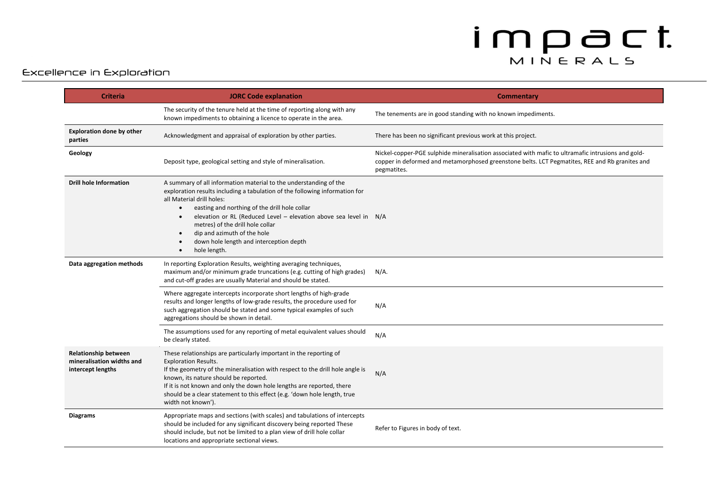#### Excellence in Exploration

| <b>Criteria</b>                                                               | <b>JORC Code explanation</b>                                                                                                                                                                                                                                                                                                                                                                                                                                                          | Commentary                                                                                                                                                                                                          |
|-------------------------------------------------------------------------------|---------------------------------------------------------------------------------------------------------------------------------------------------------------------------------------------------------------------------------------------------------------------------------------------------------------------------------------------------------------------------------------------------------------------------------------------------------------------------------------|---------------------------------------------------------------------------------------------------------------------------------------------------------------------------------------------------------------------|
|                                                                               | The security of the tenure held at the time of reporting along with any<br>known impediments to obtaining a licence to operate in the area.                                                                                                                                                                                                                                                                                                                                           | The tenements are in good standing with no known impediments.                                                                                                                                                       |
| <b>Exploration done by other</b><br>parties                                   | Acknowledgment and appraisal of exploration by other parties.                                                                                                                                                                                                                                                                                                                                                                                                                         | There has been no significant previous work at this project.                                                                                                                                                        |
| Geology                                                                       | Deposit type, geological setting and style of mineralisation.                                                                                                                                                                                                                                                                                                                                                                                                                         | Nickel-copper-PGE sulphide mineralisation associated with mafic to ultramafic intrusions and gold-<br>copper in deformed and metamorphosed greenstone belts. LCT Pegmatites, REE and Rb granites and<br>pegmatites. |
| <b>Drill hole Information</b>                                                 | A summary of all information material to the understanding of the<br>exploration results including a tabulation of the following information for<br>all Material drill holes:<br>easting and northing of the drill hole collar<br>$\bullet$<br>elevation or RL (Reduced Level - elevation above sea level in N/A<br>$\bullet$<br>metres) of the drill hole collar<br>dip and azimuth of the hole<br>$\bullet$<br>down hole length and interception depth<br>hole length.<br>$\bullet$ |                                                                                                                                                                                                                     |
| Data aggregation methods                                                      | In reporting Exploration Results, weighting averaging techniques,<br>maximum and/or minimum grade truncations (e.g. cutting of high grades)<br>and cut-off grades are usually Material and should be stated.                                                                                                                                                                                                                                                                          | $N/A$ .                                                                                                                                                                                                             |
|                                                                               | Where aggregate intercepts incorporate short lengths of high-grade<br>results and longer lengths of low-grade results, the procedure used for<br>such aggregation should be stated and some typical examples of such<br>aggregations should be shown in detail.                                                                                                                                                                                                                       | N/A                                                                                                                                                                                                                 |
|                                                                               | The assumptions used for any reporting of metal equivalent values should<br>be clearly stated.                                                                                                                                                                                                                                                                                                                                                                                        | N/A                                                                                                                                                                                                                 |
| <b>Relationship between</b><br>mineralisation widths and<br>intercept lengths | These relationships are particularly important in the reporting of<br><b>Exploration Results.</b><br>If the geometry of the mineralisation with respect to the drill hole angle is<br>known, its nature should be reported.<br>If it is not known and only the down hole lengths are reported, there<br>should be a clear statement to this effect (e.g. 'down hole length, true<br>width not known').                                                                                | N/A                                                                                                                                                                                                                 |
| <b>Diagrams</b>                                                               | Appropriate maps and sections (with scales) and tabulations of intercepts<br>should be included for any significant discovery being reported These<br>should include, but not be limited to a plan view of drill hole collar<br>locations and appropriate sectional views.                                                                                                                                                                                                            | Refer to Figures in body of text.                                                                                                                                                                                   |